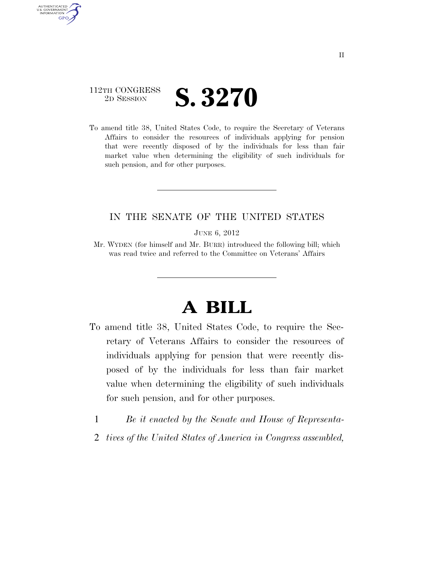## 112TH CONGRESS **2D SESSION S. 3270**

AUTHENTICATED U.S. GOVERNMENT **GPO** 

> To amend title 38, United States Code, to require the Secretary of Veterans Affairs to consider the resources of individuals applying for pension that were recently disposed of by the individuals for less than fair market value when determining the eligibility of such individuals for such pension, and for other purposes.

## IN THE SENATE OF THE UNITED STATES

JUNE 6, 2012

Mr. WYDEN (for himself and Mr. BURR) introduced the following bill; which was read twice and referred to the Committee on Veterans' Affairs

## **A BILL**

- To amend title 38, United States Code, to require the Secretary of Veterans Affairs to consider the resources of individuals applying for pension that were recently disposed of by the individuals for less than fair market value when determining the eligibility of such individuals for such pension, and for other purposes.
	- 1 *Be it enacted by the Senate and House of Representa-*
	- 2 *tives of the United States of America in Congress assembled,*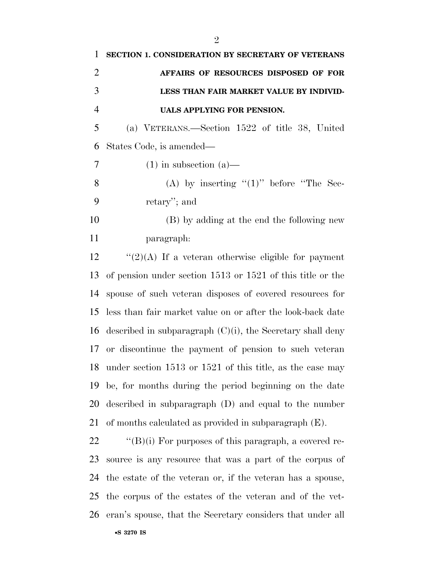| $\mathbf{1}$   | SECTION 1. CONSIDERATION BY SECRETARY OF VETERANS              |
|----------------|----------------------------------------------------------------|
| $\overline{2}$ | AFFAIRS OF RESOURCES DISPOSED OF FOR                           |
| 3              | LESS THAN FAIR MARKET VALUE BY INDIVID-                        |
| $\overline{4}$ | UALS APPLYING FOR PENSION.                                     |
| 5              | (a) VETERANS.—Section 1522 of title 38, United                 |
| 6              | States Code, is amended—                                       |
| 7              | $(1)$ in subsection $(a)$ —                                    |
| 8              | (A) by inserting " $(1)$ " before "The Sec-                    |
| 9              | retary'; and                                                   |
| 10             | (B) by adding at the end the following new                     |
| 11             | paragraph:                                                     |
| 12             | " $(2)(A)$ If a veteran otherwise eligible for payment         |
| 13             | of pension under section $1513$ or $1521$ of this title or the |
| 14             | spouse of such veteran disposes of covered resources for       |
| 15             | less than fair market value on or after the look-back date     |
| 16             | described in subparagraph $(C)(i)$ , the Secretary shall deny  |
| 17             | or discontinue the payment of pension to such veteran          |
|                | 18 under section 1513 or 1521 of this title, as the case may   |
| 19             | be, for months during the period beginning on the date         |
| 20             | described in subparagraph (D) and equal to the number          |
| 21             | of months calculated as provided in subparagraph $(E)$ .       |
| 22             | $\lq\lq(B)(i)$ For purposes of this paragraph, a covered re-   |
| 23             | source is any resource that was a part of the corpus of        |
| 24             | the estate of the veteran or, if the veteran has a spouse,     |
| 25             | the corpus of the estates of the veteran and of the vet-       |
| 26             | eran's spouse, that the Secretary considers that under all     |
|                |                                                                |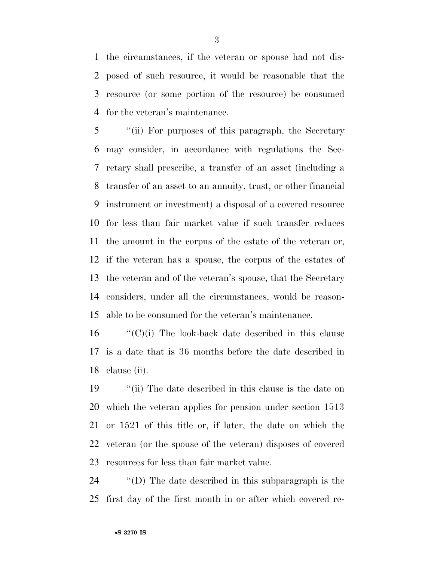the circumstances, if the veteran or spouse had not dis- posed of such resource, it would be reasonable that the resource (or some portion of the resource) be consumed for the veteran's maintenance.

 ''(ii) For purposes of this paragraph, the Secretary may consider, in accordance with regulations the Sec- retary shall prescribe, a transfer of an asset (including a transfer of an asset to an annuity, trust, or other financial instrument or investment) a disposal of a covered resource for less than fair market value if such transfer reduces the amount in the corpus of the estate of the veteran or, if the veteran has a spouse, the corpus of the estates of the veteran and of the veteran's spouse, that the Secretary considers, under all the circumstances, would be reason-able to be consumed for the veteran's maintenance.

 "'(C)(i) The look-back date described in this clause is a date that is 36 months before the date described in clause (ii).

 ''(ii) The date described in this clause is the date on which the veteran applies for pension under section 1513 or 1521 of this title or, if later, the date on which the veteran (or the spouse of the veteran) disposes of covered resources for less than fair market value.

 ''(D) The date described in this subparagraph is the first day of the first month in or after which covered re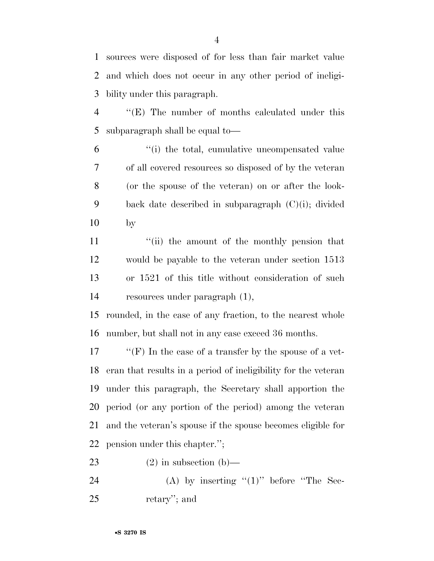sources were disposed of for less than fair market value and which does not occur in any other period of ineligi-bility under this paragraph.

 ''(E) The number of months calculated under this subparagraph shall be equal to—

 ''(i) the total, cumulative uncompensated value of all covered resources so disposed of by the veteran (or the spouse of the veteran) on or after the look- back date described in subparagraph (C)(i); divided by

11 ''(ii) the amount of the monthly pension that would be payable to the veteran under section 1513 or 1521 of this title without consideration of such resources under paragraph (1),

 rounded, in the case of any fraction, to the nearest whole number, but shall not in any case exceed 36 months.

 ''(F) In the case of a transfer by the spouse of a vet- eran that results in a period of ineligibility for the veteran under this paragraph, the Secretary shall apportion the period (or any portion of the period) among the veteran and the veteran's spouse if the spouse becomes eligible for pension under this chapter.'';

23 (2) in subsection (b)—

24 (A) by inserting  $(1)$ " before "The Sec-retary''; and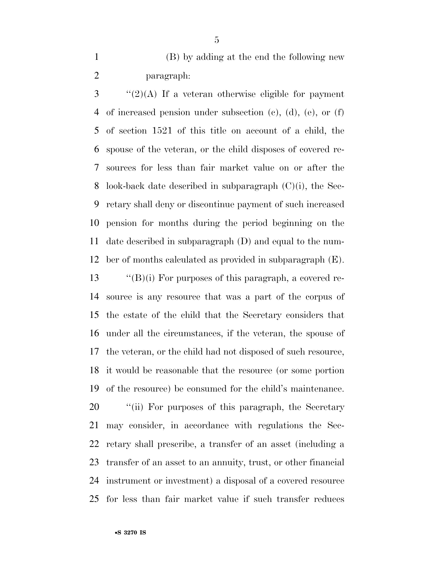(B) by adding at the end the following new paragraph:

 ''(2)(A) If a veteran otherwise eligible for payment of increased pension under subsection (c), (d), (e), or (f) of section 1521 of this title on account of a child, the spouse of the veteran, or the child disposes of covered re- sources for less than fair market value on or after the look-back date described in subparagraph (C)(i), the Sec- retary shall deny or discontinue payment of such increased pension for months during the period beginning on the date described in subparagraph (D) and equal to the num-ber of months calculated as provided in subparagraph (E).

 $\langle$  "(B)(i) For purposes of this paragraph, a covered re- source is any resource that was a part of the corpus of the estate of the child that the Secretary considers that under all the circumstances, if the veteran, the spouse of the veteran, or the child had not disposed of such resource, it would be reasonable that the resource (or some portion of the resource) be consumed for the child's maintenance.

20 "(ii) For purposes of this paragraph, the Secretary may consider, in accordance with regulations the Sec- retary shall prescribe, a transfer of an asset (including a transfer of an asset to an annuity, trust, or other financial instrument or investment) a disposal of a covered resource for less than fair market value if such transfer reduces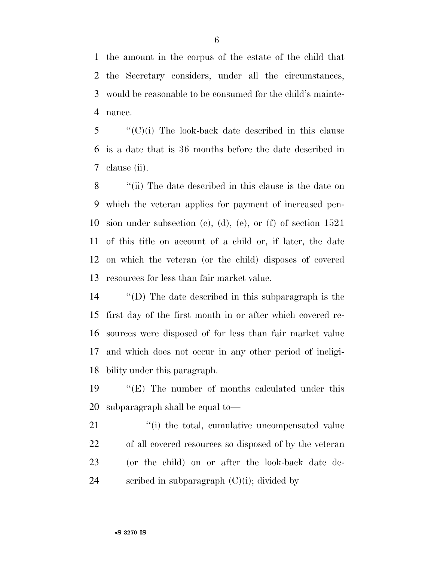the amount in the corpus of the estate of the child that the Secretary considers, under all the circumstances, would be reasonable to be consumed for the child's mainte-nance.

 "'(C)(i) The look-back date described in this clause is a date that is 36 months before the date described in clause (ii).

 ''(ii) The date described in this clause is the date on which the veteran applies for payment of increased pen- sion under subsection (c), (d), (e), or (f) of section 1521 of this title on account of a child or, if later, the date on which the veteran (or the child) disposes of covered resources for less than fair market value.

 ''(D) The date described in this subparagraph is the first day of the first month in or after which covered re- sources were disposed of for less than fair market value and which does not occur in any other period of ineligi-bility under this paragraph.

 ''(E) The number of months calculated under this subparagraph shall be equal to—

21 ''(i) the total, cumulative uncompensated value of all covered resources so disposed of by the veteran (or the child) on or after the look-back date de-scribed in subparagraph (C)(i); divided by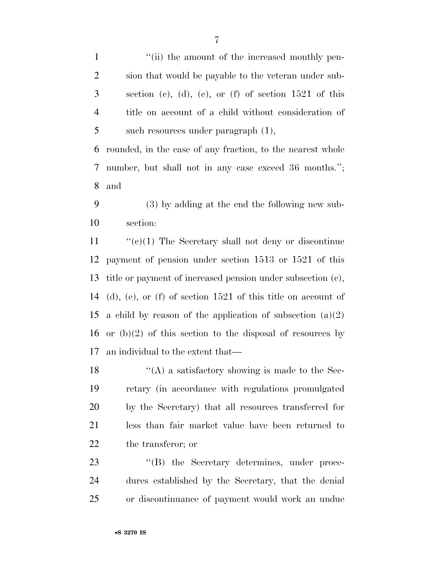1 ''(ii) the amount of the increased monthly pen- sion that would be payable to the veteran under sub- section (c), (d), (e), or (f) of section 1521 of this title on account of a child without consideration of 5 such resources under paragraph  $(1)$ ,

 rounded, in the case of any fraction, to the nearest whole number, but shall not in any case exceed 36 months.''; and

 (3) by adding at the end the following new sub-section:

 $\lq($ c $)(1)$  The Secretary shall not deny or discontinue payment of pension under section 1513 or 1521 of this title or payment of increased pension under subsection (c), (d), (e), or (f) of section 1521 of this title on account of 15 a child by reason of the application of subsection  $(a)(2)$ 16 or  $(b)(2)$  of this section to the disposal of resources by an individual to the extent that—

 $\mathcal{L}(\mathbf{A})$  a satisfactory showing is made to the Sec- retary (in accordance with regulations promulgated by the Secretary) that all resources transferred for less than fair market value have been returned to the transferor; or

23 "(B) the Secretary determines, under proce- dures established by the Secretary, that the denial or discontinuance of payment would work an undue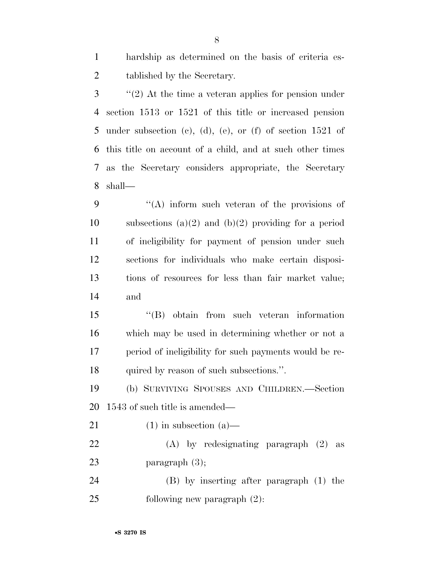hardship as determined on the basis of criteria es-tablished by the Secretary.

 ''(2) At the time a veteran applies for pension under section 1513 or 1521 of this title or increased pension under subsection (c), (d), (e), or (f) of section 1521 of this title on account of a child, and at such other times as the Secretary considers appropriate, the Secretary shall—

 ''(A) inform such veteran of the provisions of 10 subsections (a)(2) and (b)(2) providing for a period of ineligibility for payment of pension under such sections for individuals who make certain disposi- tions of resources for less than fair market value; and

 ''(B) obtain from such veteran information which may be used in determining whether or not a period of ineligibility for such payments would be re-quired by reason of such subsections.''.

 (b) SURVIVING SPOUSES AND CHILDREN.—Section 1543 of such title is amended—

21 (1) in subsection  $(a)$ —

 (A) by redesignating paragraph (2) as 23 paragraph  $(3)$ ;

 (B) by inserting after paragraph (1) the following new paragraph (2):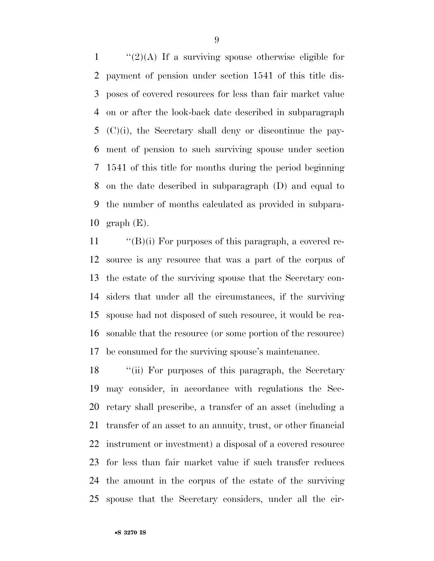$\frac{1}{2}(2)(A)$  If a surviving spouse otherwise eligible for payment of pension under section 1541 of this title dis- poses of covered resources for less than fair market value on or after the look-back date described in subparagraph (C)(i), the Secretary shall deny or discontinue the pay- ment of pension to such surviving spouse under section 1541 of this title for months during the period beginning on the date described in subparagraph (D) and equal to the number of months calculated as provided in subpara-10 graph  $(E)$ .

 $\langle$  "(B)(i) For purposes of this paragraph, a covered re- source is any resource that was a part of the corpus of the estate of the surviving spouse that the Secretary con- siders that under all the circumstances, if the surviving spouse had not disposed of such resource, it would be rea- sonable that the resource (or some portion of the resource) be consumed for the surviving spouse's maintenance.

 ''(ii) For purposes of this paragraph, the Secretary may consider, in accordance with regulations the Sec- retary shall prescribe, a transfer of an asset (including a transfer of an asset to an annuity, trust, or other financial instrument or investment) a disposal of a covered resource for less than fair market value if such transfer reduces the amount in the corpus of the estate of the surviving spouse that the Secretary considers, under all the cir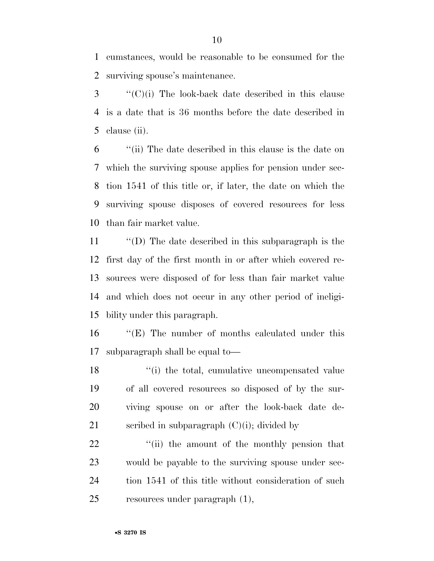cumstances, would be reasonable to be consumed for the surviving spouse's maintenance.

 ''(C)(i) The look-back date described in this clause is a date that is 36 months before the date described in clause (ii).

 ''(ii) The date described in this clause is the date on which the surviving spouse applies for pension under sec- tion 1541 of this title or, if later, the date on which the surviving spouse disposes of covered resources for less than fair market value.

 ''(D) The date described in this subparagraph is the first day of the first month in or after which covered re- sources were disposed of for less than fair market value and which does not occur in any other period of ineligi-bility under this paragraph.

 ''(E) The number of months calculated under this subparagraph shall be equal to—

18 ''(i) the total, cumulative uncompensated value of all covered resources so disposed of by the sur- viving spouse on or after the look-back date de-21 scribed in subparagraph  $(C)(i)$ ; divided by

 $\frac{1}{2}$  (ii) the amount of the monthly pension that would be payable to the surviving spouse under sec-24 tion 1541 of this title without consideration of such resources under paragraph (1),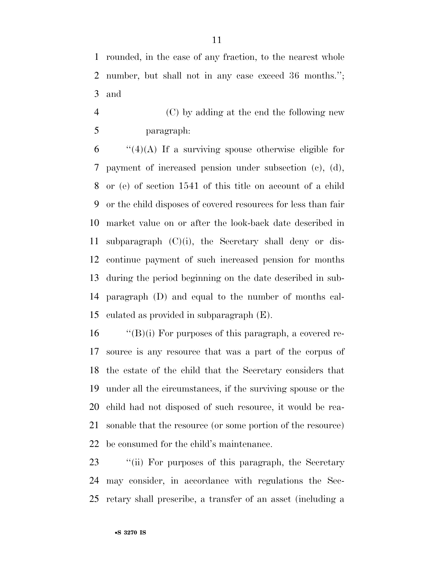rounded, in the case of any fraction, to the nearest whole number, but shall not in any case exceed 36 months.''; and

 (C) by adding at the end the following new paragraph:

 $\frac{1}{4}(4)(A)$  If a surviving spouse otherwise eligible for payment of increased pension under subsection (c), (d), or (e) of section 1541 of this title on account of a child or the child disposes of covered resources for less than fair market value on or after the look-back date described in 11 subparagraph  $(C)(i)$ , the Secretary shall deny or dis- continue payment of such increased pension for months during the period beginning on the date described in sub- paragraph (D) and equal to the number of months cal-culated as provided in subparagraph (E).

 ''(B)(i) For purposes of this paragraph, a covered re- source is any resource that was a part of the corpus of the estate of the child that the Secretary considers that under all the circumstances, if the surviving spouse or the child had not disposed of such resource, it would be rea- sonable that the resource (or some portion of the resource) be consumed for the child's maintenance.

23 "(ii) For purposes of this paragraph, the Secretary may consider, in accordance with regulations the Sec-retary shall prescribe, a transfer of an asset (including a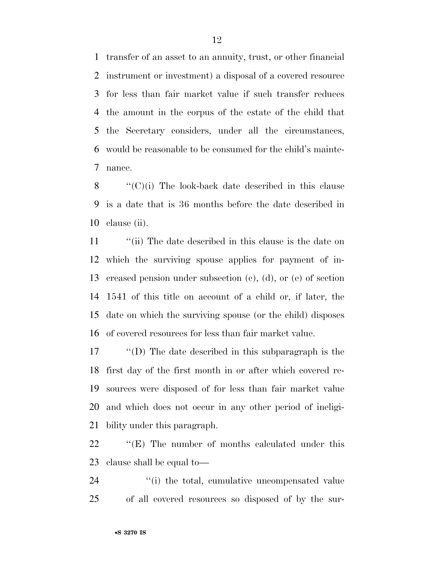transfer of an asset to an annuity, trust, or other financial instrument or investment) a disposal of a covered resource for less than fair market value if such transfer reduces the amount in the corpus of the estate of the child that the Secretary considers, under all the circumstances, would be reasonable to be consumed for the child's mainte-nance.

8  $\langle (C)(i)$  The look-back date described in this clause is a date that is 36 months before the date described in clause (ii).

11 ''(ii) The date described in this clause is the date on which the surviving spouse applies for payment of in- creased pension under subsection (c), (d), or (e) of section 1541 of this title on account of a child or, if later, the date on which the surviving spouse (or the child) disposes of covered resources for less than fair market value.

 ''(D) The date described in this subparagraph is the first day of the first month in or after which covered re- sources were disposed of for less than fair market value and which does not occur in any other period of ineligi-bility under this paragraph.

22 "'(E) The number of months calculated under this clause shall be equal to—

24  $\langle$  (i) the total, cumulative uncompensated value of all covered resources so disposed of by the sur-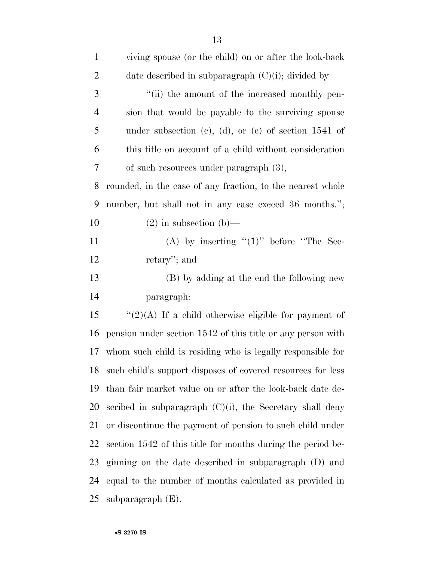| $\mathbf{1}$   | viving spouse (or the child) on or after the look-back         |
|----------------|----------------------------------------------------------------|
| $\overline{2}$ | date described in subparagraph $(C)(i)$ ; divided by           |
| 3              | "(ii) the amount of the increased monthly pen-                 |
| $\overline{4}$ | sion that would be payable to the surviving spouse             |
| 5              | under subsection (c), (d), or (e) of section $1541$ of         |
| 6              | this title on account of a child without consideration         |
| $\tau$         | of such resources under paragraph $(3)$ ,                      |
| 8              | rounded, in the case of any fraction, to the nearest whole     |
| 9              | number, but shall not in any case exceed 36 months.";          |
| 10             | $(2)$ in subsection (b)—                                       |
| 11             | (A) by inserting " $(1)$ " before "The Sec-                    |
| 12             | retary'; and                                                   |
| 13             | (B) by adding at the end the following new                     |
| 14             | paragraph:                                                     |
| 15             | " $(2)(A)$ If a child otherwise eligible for payment of        |
| 16             | pension under section 1542 of this title or any person with    |
| 17             | whom such child is residing who is legally responsible for     |
|                | 18 such child's support disposes of covered resources for less |
| 19             | than fair market value on or after the look-back date de-      |
| 20             | scribed in subparagraph $(C)(i)$ , the Secretary shall deny    |
| 21             | or discontinue the payment of pension to such child under      |
| 22             | section 1542 of this title for months during the period be-    |
| 23             | ginning on the date described in subparagraph (D) and          |
| 24             | equal to the number of months calculated as provided in        |
| 25             | subparagraph $(E)$ .                                           |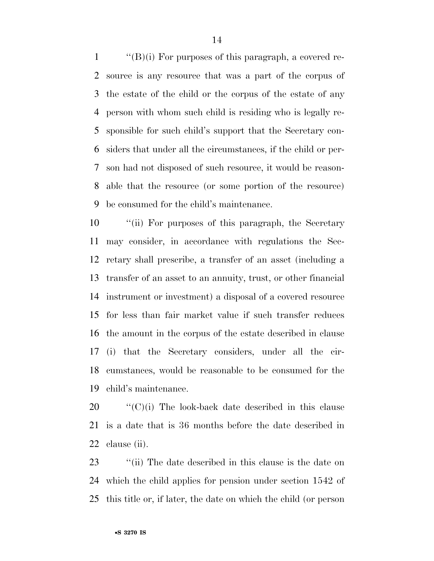$\langle$  (B)(i) For purposes of this paragraph, a covered re- source is any resource that was a part of the corpus of the estate of the child or the corpus of the estate of any person with whom such child is residing who is legally re- sponsible for such child's support that the Secretary con- siders that under all the circumstances, if the child or per- son had not disposed of such resource, it would be reason- able that the resource (or some portion of the resource) be consumed for the child's maintenance.

 ''(ii) For purposes of this paragraph, the Secretary may consider, in accordance with regulations the Sec- retary shall prescribe, a transfer of an asset (including a transfer of an asset to an annuity, trust, or other financial instrument or investment) a disposal of a covered resource for less than fair market value if such transfer reduces the amount in the corpus of the estate described in clause (i) that the Secretary considers, under all the cir- cumstances, would be reasonable to be consumed for the child's maintenance.

 ''(C)(i) The look-back date described in this clause is a date that is 36 months before the date described in clause (ii).

23 ''(ii) The date described in this clause is the date on which the child applies for pension under section 1542 of this title or, if later, the date on which the child (or person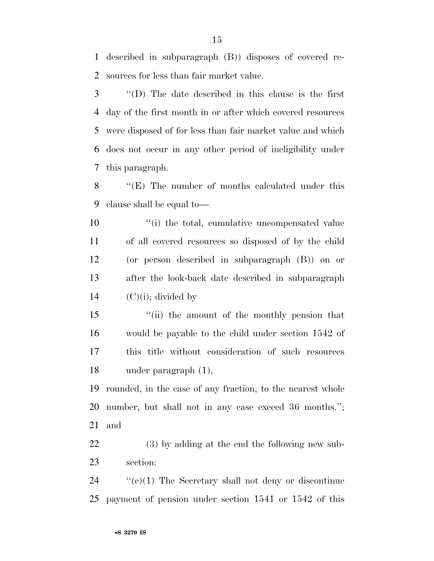described in subparagraph (B)) disposes of covered re-sources for less than fair market value.

 ''(D) The date described in this clause is the first day of the first month in or after which covered resources were disposed of for less than fair market value and which does not occur in any other period of ineligibility under this paragraph.

 ''(E) The number of months calculated under this clause shall be equal to—

 $\frac{1}{10}$  the total, cumulative uncompensated value of all covered resources so disposed of by the child (or person described in subparagraph (B)) on or after the look-back date described in subparagraph  $(C)(i)$ ; divided by

 ''(ii) the amount of the monthly pension that would be payable to the child under section 1542 of this title without consideration of such resources under paragraph (1),

 rounded, in the case of any fraction, to the nearest whole number, but shall not in any case exceed 36 months.''; and

 (3) by adding at the end the following new sub-section:

 ''(c)(1) The Secretary shall not deny or discontinue payment of pension under section 1541 or 1542 of this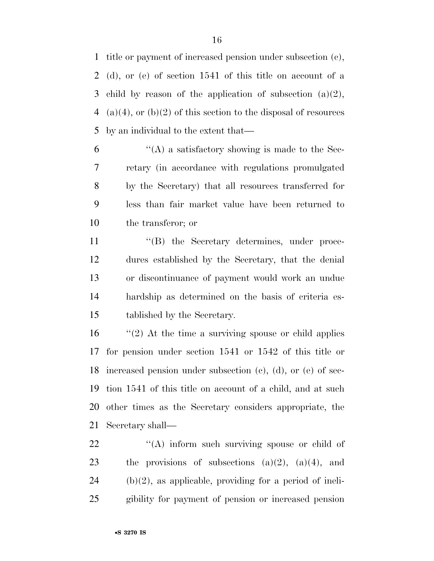title or payment of increased pension under subsection (c), (d), or (e) of section 1541 of this title on account of a 3 child by reason of the application of subsection  $(a)(2)$ , 4 (a)(4), or (b)(2) of this section to the disposal of resources by an individual to the extent that—

 $(4)$  a satisfactory showing is made to the Sec- retary (in accordance with regulations promulgated by the Secretary) that all resources transferred for less than fair market value have been returned to the transferor; or

 $\langle G \rangle$  the Secretary determines, under proce- dures established by the Secretary, that the denial or discontinuance of payment would work an undue hardship as determined on the basis of criteria es-tablished by the Secretary.

 $\frac{1}{2}$  (2) At the time a surviving spouse or child applies for pension under section 1541 or 1542 of this title or increased pension under subsection (c), (d), or (e) of sec- tion 1541 of this title on account of a child, and at such other times as the Secretary considers appropriate, the Secretary shall—

 $\langle (A) \rangle$  inform such surviving spouse or child of 23 the provisions of subsections  $(a)(2)$ ,  $(a)(4)$ , and (b)(2), as applicable, providing for a period of ineli-gibility for payment of pension or increased pension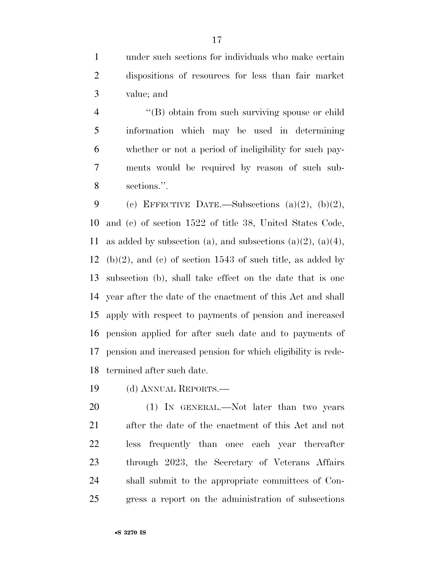under such sections for individuals who make certain dispositions of resources for less than fair market value; and

4 "(B) obtain from such surviving spouse or child information which may be used in determining whether or not a period of ineligibility for such pay- ments would be required by reason of such sub-sections.''.

9 (c) EFFECTIVE DATE.—Subsections  $(a)(2)$ ,  $(b)(2)$ , and (c) of section 1522 of title 38, United States Code, 11 as added by subsection (a), and subsections (a)(2), (a)(4), 12 (b)(2), and (c) of section 1543 of such title, as added by subsection (b), shall take effect on the date that is one year after the date of the enactment of this Act and shall apply with respect to payments of pension and increased pension applied for after such date and to payments of pension and increased pension for which eligibility is rede-termined after such date.

(d) ANNUAL REPORTS.—

20 (1) IN GENERAL.—Not later than two years after the date of the enactment of this Act and not less frequently than once each year thereafter through 2023, the Secretary of Veterans Affairs shall submit to the appropriate committees of Con-gress a report on the administration of subsections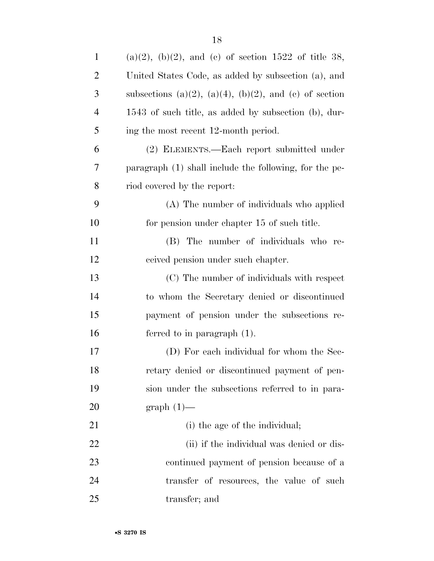| $\mathbf{1}$   | $(a)(2)$ , $(b)(2)$ , and $(c)$ of section 1522 of title 38, |
|----------------|--------------------------------------------------------------|
| $\overline{2}$ | United States Code, as added by subsection (a), and          |
| 3              | subsections (a)(2), (a)(4), (b)(2), and (c) of section       |
| $\overline{4}$ | 1543 of such title, as added by subsection (b), dur-         |
| 5              | ing the most recent 12-month period.                         |
| 6              | (2) ELEMENTS.—Each report submitted under                    |
| 7              | paragraph (1) shall include the following, for the pe-       |
| 8              | riod covered by the report:                                  |
| 9              | (A) The number of individuals who applied                    |
| $10\,$         | for pension under chapter 15 of such title.                  |
| 11             | (B) The number of individuals who re-                        |
| 12             | ceived pension under such chapter.                           |
| 13             | (C) The number of individuals with respect                   |
| 14             | to whom the Secretary denied or discontinued                 |
| 15             | payment of pension under the subsections re-                 |
| 16             | ferred to in paragraph $(1)$ .                               |
| 17             | (D) For each individual for whom the Sec-                    |
| 18             | retary denied or discontinued payment of pen-                |
| 19             | sion under the subsections referred to in para-              |
| 20             | $graph(1)$ —                                                 |
| 21             | (i) the age of the individual;                               |
| 22             | (ii) if the individual was denied or dis-                    |
| 23             | continued payment of pension because of a                    |
| 24             | transfer of resources, the value of such                     |
| 25             | transfer; and                                                |